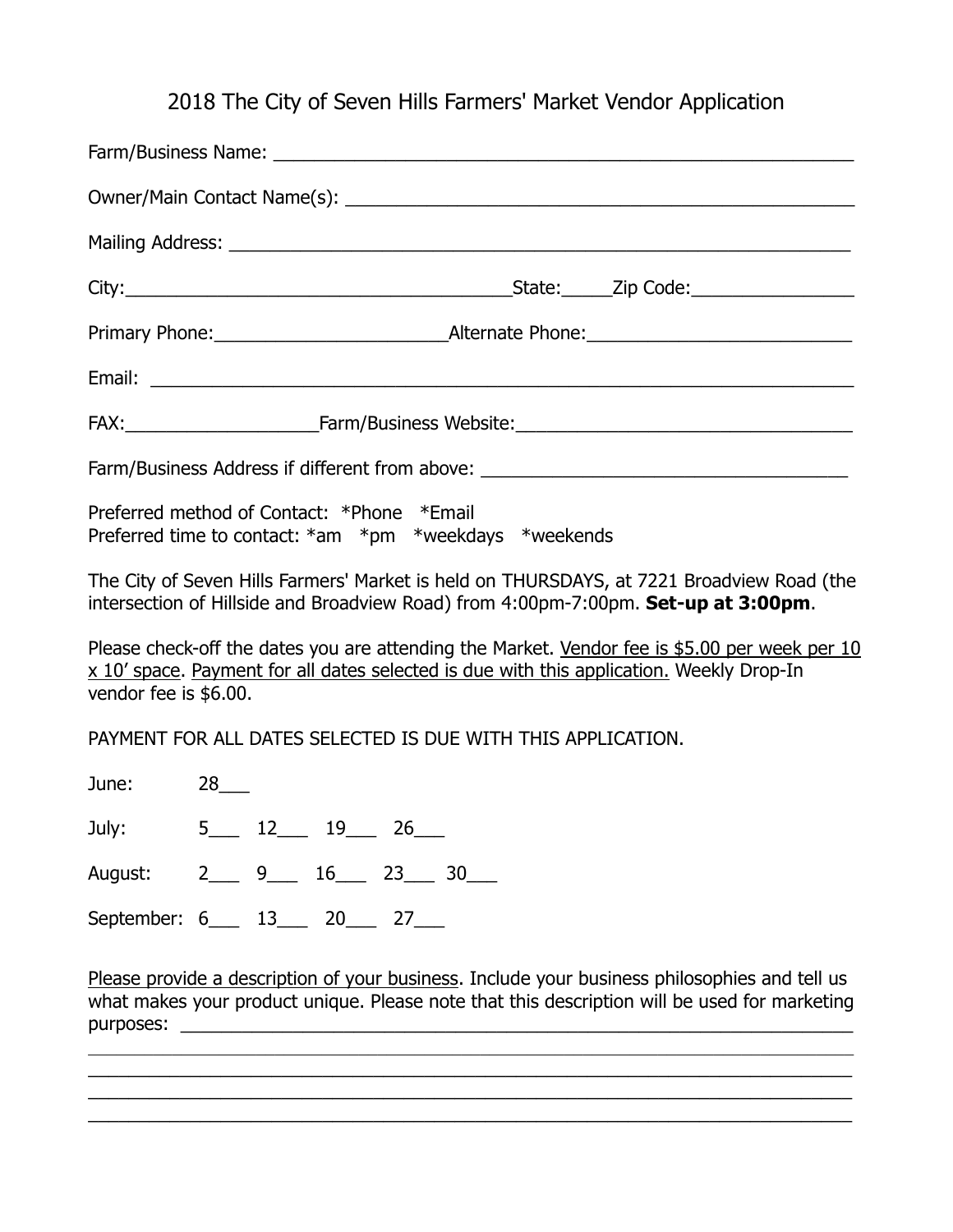# 2018 The City of Seven Hills Farmers' Market Vendor Application

|                                                                                                                                                                                                                    |                      |  |              |  |  |  | Farm/Business Address if different from above: _________________________________                                                                                                              |
|--------------------------------------------------------------------------------------------------------------------------------------------------------------------------------------------------------------------|----------------------|--|--------------|--|--|--|-----------------------------------------------------------------------------------------------------------------------------------------------------------------------------------------------|
| Preferred method of Contact: *Phone *Email<br>Preferred time to contact: $*am *pm *$ weekdays $*weekends$                                                                                                          |                      |  |              |  |  |  |                                                                                                                                                                                               |
|                                                                                                                                                                                                                    |                      |  |              |  |  |  | The City of Seven Hills Farmers' Market is held on THURSDAYS, at 7221 Broadview Road (the<br>intersection of Hillside and Broadview Road) from 4:00pm-7:00pm. Set-up at 3:00pm.               |
| Please check-off the dates you are attending the Market. Vendor fee is \$5.00 per week per 10<br>x 10' space. Payment for all dates selected is due with this application. Weekly Drop-In<br>vendor fee is \$6.00. |                      |  |              |  |  |  |                                                                                                                                                                                               |
| PAYMENT FOR ALL DATES SELECTED IS DUE WITH THIS APPLICATION.                                                                                                                                                       |                      |  |              |  |  |  |                                                                                                                                                                                               |
| June:                                                                                                                                                                                                              | $28$ <sub>____</sub> |  |              |  |  |  |                                                                                                                                                                                               |
| July:                                                                                                                                                                                                              |                      |  | $5$ 12 19 26 |  |  |  |                                                                                                                                                                                               |
| August: 2___ 9___ 16___ 23___ 30___                                                                                                                                                                                |                      |  |              |  |  |  |                                                                                                                                                                                               |
| September: 6___ 13___ 20___ 27___                                                                                                                                                                                  |                      |  |              |  |  |  |                                                                                                                                                                                               |
|                                                                                                                                                                                                                    |                      |  |              |  |  |  | Please provide a description of your business. Include your business philosophies and tell us<br>what makes your product unique. Please note that this description will be used for marketing |
|                                                                                                                                                                                                                    |                      |  |              |  |  |  |                                                                                                                                                                                               |

\_\_\_\_\_\_\_\_\_\_\_\_\_\_\_\_\_\_\_\_\_\_\_\_\_\_\_\_\_\_\_\_\_\_\_\_\_\_\_\_\_\_\_\_\_\_\_\_\_\_\_\_\_\_\_\_\_\_\_\_\_\_\_\_\_\_\_\_\_\_\_\_\_\_\_ \_\_\_\_\_\_\_\_\_\_\_\_\_\_\_\_\_\_\_\_\_\_\_\_\_\_\_\_\_\_\_\_\_\_\_\_\_\_\_\_\_\_\_\_\_\_\_\_\_\_\_\_\_\_\_\_\_\_\_\_\_\_\_\_\_\_\_\_\_\_\_\_\_\_\_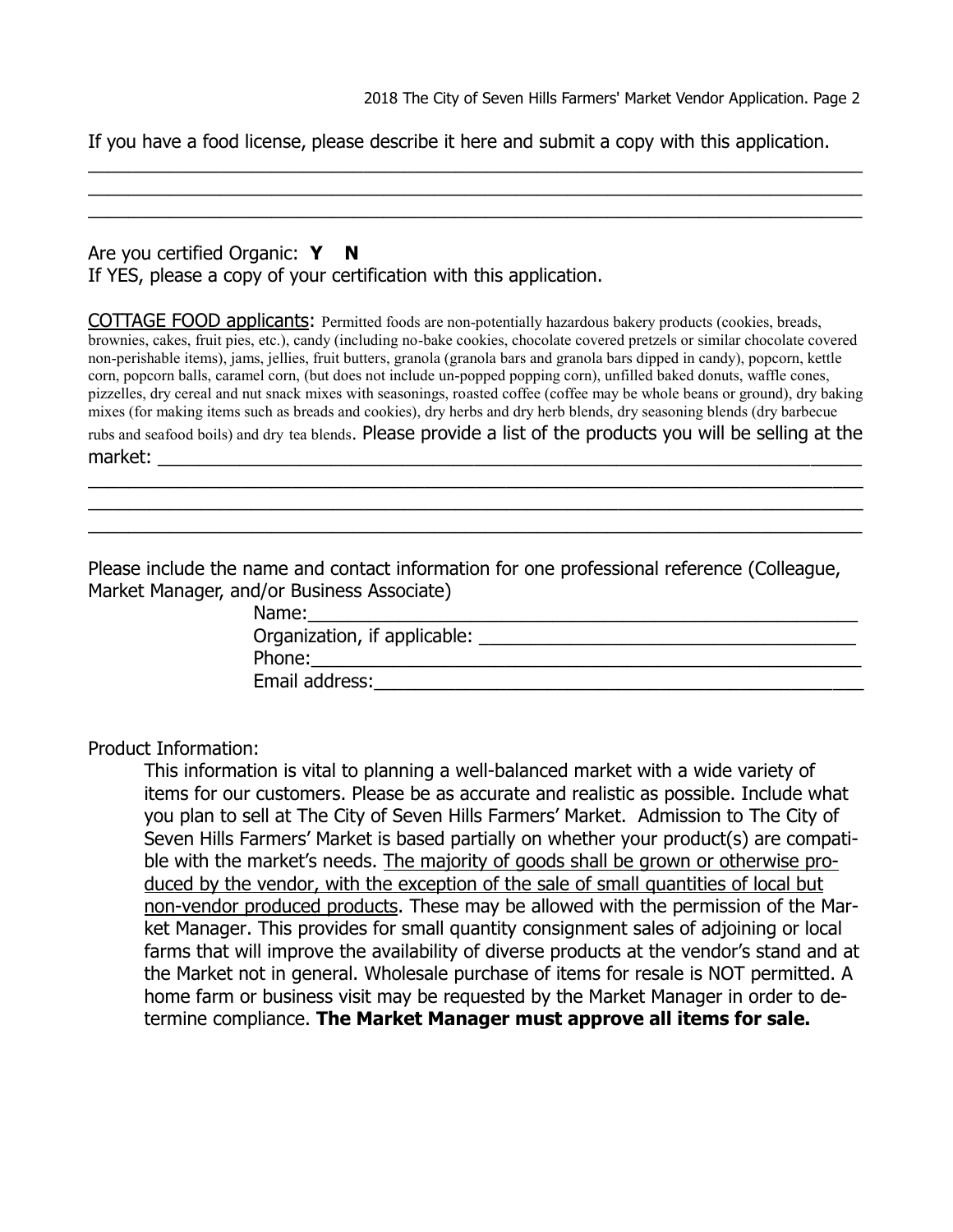If you have a food license, please describe it here and submit a copy with this application.

\_\_\_\_\_\_\_\_\_\_\_\_\_\_\_\_\_\_\_\_\_\_\_\_\_\_\_\_\_\_\_\_\_\_\_\_\_\_\_\_\_\_\_\_\_\_\_\_\_\_\_\_\_\_\_\_\_\_\_\_\_\_\_\_\_\_\_\_\_\_\_\_\_\_\_\_ \_\_\_\_\_\_\_\_\_\_\_\_\_\_\_\_\_\_\_\_\_\_\_\_\_\_\_\_\_\_\_\_\_\_\_\_\_\_\_\_\_\_\_\_\_\_\_\_\_\_\_\_\_\_\_\_\_\_\_\_\_\_\_\_\_\_\_\_\_\_\_\_\_\_\_\_ \_\_\_\_\_\_\_\_\_\_\_\_\_\_\_\_\_\_\_\_\_\_\_\_\_\_\_\_\_\_\_\_\_\_\_\_\_\_\_\_\_\_\_\_\_\_\_\_\_\_\_\_\_\_\_\_\_\_\_\_\_\_\_\_\_\_\_\_\_\_\_\_\_\_\_\_

#### Are you certified Organic: Y N If YES, please a copy of your certification with this application.

COTTAGE FOOD applicants: Permitted foods are non-potentially hazardous bakery products (cookies, breads, brownies, cakes, fruit pies, etc.), candy (including no-bake cookies, chocolate covered pretzels or similar chocolate covered non-perishable items), jams, jellies, fruit butters, granola (granola bars and granola bars dipped in candy), popcorn, kettle corn, popcorn balls, caramel corn, (but does not include un-popped popping corn), unfilled baked donuts, waffle cones, pizzelles, dry cereal and nut snack mixes with seasonings, roasted coffee (coffee may be whole beans or ground), dry baking mixes (for making items such as breads and cookies), dry herbs and dry herb blends, dry seasoning blends (dry barbecue rubs and seafood boils) and dry tea blends. Please provide a list of the products you will be selling at the market: \_\_\_\_\_\_\_\_\_\_\_\_\_\_\_\_\_\_\_\_\_\_\_\_\_\_\_\_\_\_\_\_\_\_\_\_\_\_\_\_\_\_\_\_\_\_\_\_\_\_\_\_\_\_\_\_\_\_\_\_\_\_\_\_\_\_\_\_\_

\_\_\_\_\_\_\_\_\_\_\_\_\_\_\_\_\_\_\_\_\_\_\_\_\_\_\_\_\_\_\_\_\_\_\_\_\_\_\_\_\_\_\_\_\_\_\_\_\_\_\_\_\_\_\_\_\_\_\_\_\_\_\_\_\_\_\_\_\_\_\_\_\_\_\_\_ \_\_\_\_\_\_\_\_\_\_\_\_\_\_\_\_\_\_\_\_\_\_\_\_\_\_\_\_\_\_\_\_\_\_\_\_\_\_\_\_\_\_\_\_\_\_\_\_\_\_\_\_\_\_\_\_\_\_\_\_\_\_\_\_\_\_\_\_\_\_\_\_\_\_\_\_ \_\_\_\_\_\_\_\_\_\_\_\_\_\_\_\_\_\_\_\_\_\_\_\_\_\_\_\_\_\_\_\_\_\_\_\_\_\_\_\_\_\_\_\_\_\_\_\_\_\_\_\_\_\_\_\_\_\_\_\_\_\_\_\_\_\_\_\_\_\_\_\_\_\_\_\_

Please include the name and contact information for one professional reference (Colleague, Market Manager, and/or Business Associate)

| Name:                        |  |
|------------------------------|--|
| Organization, if applicable: |  |
| Phone:                       |  |
| Email address:               |  |

Product Information:

This information is vital to planning a well-balanced market with a wide variety of items for our customers. Please be as accurate and realistic as possible. Include what you plan to sell at The City of Seven Hills Farmers' Market. Admission to The City of Seven Hills Farmers' Market is based partially on whether your product(s) are compatible with the market's needs. The majority of goods shall be grown or otherwise produced by the vendor, with the exception of the sale of small quantities of local but non-vendor produced products. These may be allowed with the permission of the Market Manager. This provides for small quantity consignment sales of adjoining or local farms that will improve the availability of diverse products at the vendor's stand and at the Market not in general. Wholesale purchase of items for resale is NOT permitted. A home farm or business visit may be requested by the Market Manager in order to determine compliance. **The Market Manager must approve all items for sale.**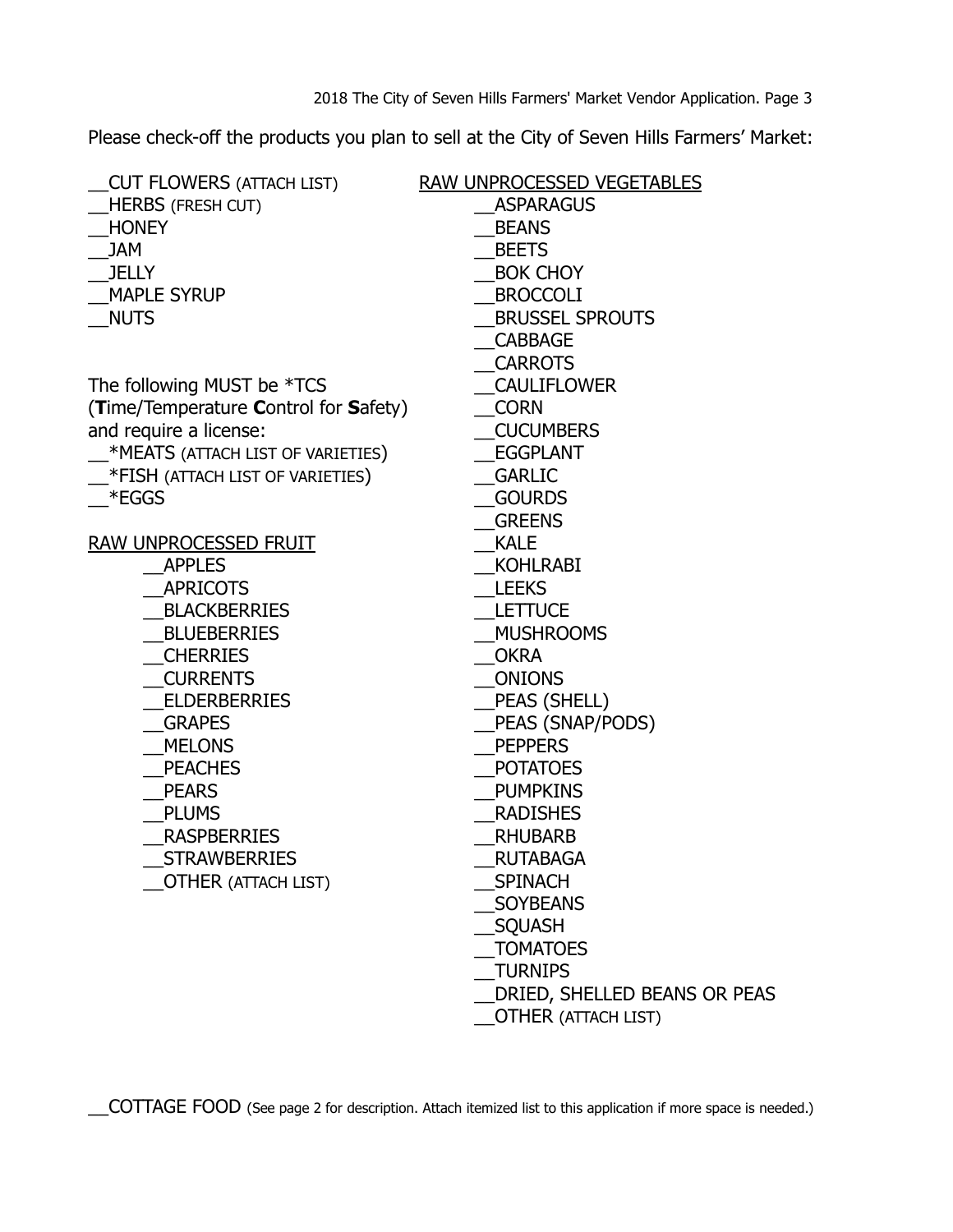Please check-off the products you plan to sell at the City of Seven Hills Farmers' Market:

| <b>CUT FLOWERS (ATTACH LIST)</b>      | RAW UNPROCESSED VEGETABLES   |
|---------------------------------------|------------------------------|
| <b>HERBS (FRESH CUT)</b>              | <b>ASPARAGUS</b>             |
| <b>HONEY</b>                          | <b>BEANS</b>                 |
| <b>JAM</b>                            | <b>BEETS</b>                 |
| <b>JELLY</b>                          | <b>BOK CHOY</b>              |
| <b>MAPLE SYRUP</b>                    | <b>BROCCOLI</b>              |
| <b>NUTS</b>                           | <b>BRUSSEL SPROUTS</b>       |
|                                       | <b>CABBAGE</b>               |
|                                       | <b>CARROTS</b>               |
| The following MUST be *TCS            | <b>CAULIFLOWER</b>           |
| (Time/Temperature Control for Safety) | <b>CORN</b>                  |
| and require a license:                | <b>CUCUMBERS</b>             |
| *MEATS (ATTACH LIST OF VARIETIES)     | <b>EGGPLANT</b>              |
| $*$ FISH (ATTACH LIST OF VARIETIES)   | <b>GARLIC</b>                |
| $*$ EGGS                              | <b>GOURDS</b>                |
|                                       | <b>GREENS</b>                |
| RAW UNPROCESSED FRUIT                 | <b>KALE</b>                  |
| <b>APPLES</b>                         | <b>KOHLRABI</b>              |
| <b>APRICOTS</b>                       | <b>LEEKS</b>                 |
| <b>BLACKBERRIES</b>                   | <b>LETTUCE</b>               |
| <b>BLUEBERRIES</b>                    | <b>MUSHROOMS</b>             |
| <b>CHERRIES</b>                       | <b>OKRA</b>                  |
| <b>CURRENTS</b>                       | <b>ONIONS</b>                |
| <b>ELDERBERRIES</b>                   | PEAS (SHELL)                 |
| <b>GRAPES</b>                         | PEAS (SNAP/PODS)             |
| <b>MELONS</b>                         | <b>PEPPERS</b>               |
| <b>PEACHES</b>                        | <b>POTATOES</b>              |
| <b>PEARS</b>                          | <b>PUMPKINS</b>              |
| <b>PLUMS</b>                          | <b>RADISHES</b>              |
| <b>RASPBERRIES</b>                    | <b>RHUBARB</b>               |
| <b>STRAWBERRIES</b>                   | <b>RUTABAGA</b>              |
| <b>OTHER (ATTACH LIST)</b>            | SPINACH                      |
|                                       | <b>SOYBEANS</b>              |
|                                       | SQUASH                       |
|                                       | <b>TOMATOES</b>              |
|                                       | <b>TURNIPS</b>               |
|                                       | DRIED, SHELLED BEANS OR PEAS |
|                                       | <b>OTHER (ATTACH LIST)</b>   |
|                                       |                              |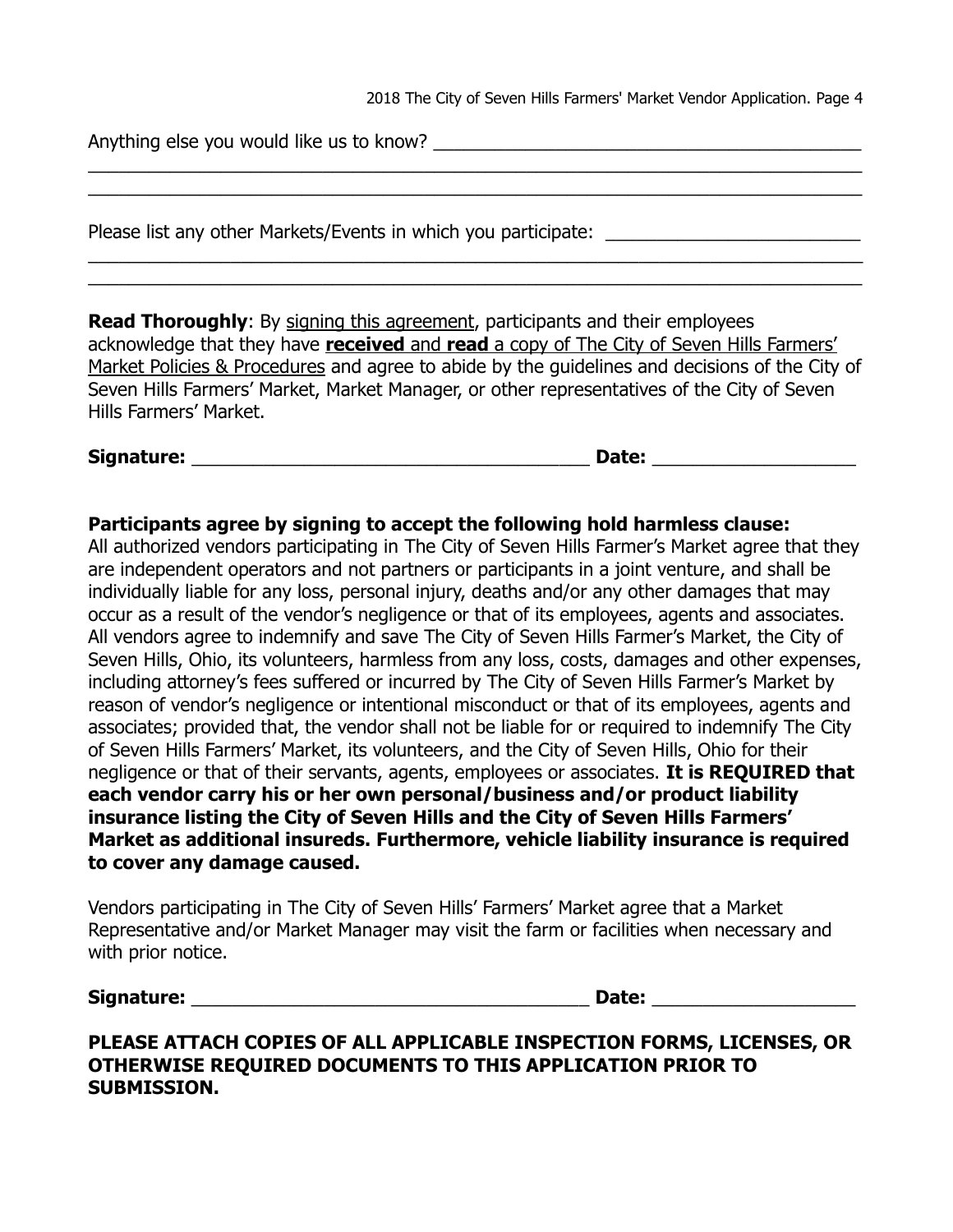2018 The City of Seven Hills Farmers' Market Vendor Application. Page 4

Anything else you would like us to know?

Please list any other Markets/Events in which you participate:

**Read Thoroughly:** By signing this agreement, participants and their employees acknowledge that they have **received** and **read** a copy of The City of Seven Hills Farmers' Market Policies & Procedures and agree to abide by the guidelines and decisions of the City of Seven Hills Farmers' Market, Market Manager, or other representatives of the City of Seven Hills Farmers' Market.

\_\_\_\_\_\_\_\_\_\_\_\_\_\_\_\_\_\_\_\_\_\_\_\_\_\_\_\_\_\_\_\_\_\_\_\_\_\_\_\_\_\_\_\_\_\_\_\_\_\_\_\_\_\_\_\_\_\_\_\_\_\_\_\_\_\_\_\_\_\_\_\_\_\_\_\_ \_\_\_\_\_\_\_\_\_\_\_\_\_\_\_\_\_\_\_\_\_\_\_\_\_\_\_\_\_\_\_\_\_\_\_\_\_\_\_\_\_\_\_\_\_\_\_\_\_\_\_\_\_\_\_\_\_\_\_\_\_\_\_\_\_\_\_\_\_\_\_\_\_\_\_\_

\_\_\_\_\_\_\_\_\_\_\_\_\_\_\_\_\_\_\_\_\_\_\_\_\_\_\_\_\_\_\_\_\_\_\_\_\_\_\_\_\_\_\_\_\_\_\_\_\_\_\_\_\_\_\_\_\_\_\_\_\_\_\_\_\_\_\_\_\_\_\_\_\_\_\_\_ \_\_\_\_\_\_\_\_\_\_\_\_\_\_\_\_\_\_\_\_\_\_\_\_\_\_\_\_\_\_\_\_\_\_\_\_\_\_\_\_\_\_\_\_\_\_\_\_\_\_\_\_\_\_\_\_\_\_\_\_\_\_\_\_\_\_\_\_\_\_\_\_\_\_\_\_

**Signature:** \_\_\_\_\_\_\_\_\_\_\_\_\_\_\_\_\_\_\_\_\_\_\_\_\_\_\_\_\_\_\_\_\_\_\_\_\_\_\_ **Date:** \_\_\_\_\_\_\_\_\_\_\_\_\_\_\_\_\_\_\_\_

### **Participants agree by signing to accept the following hold harmless clause:**

All authorized vendors participating in The City of Seven Hills Farmer's Market agree that they are independent operators and not partners or participants in a joint venture, and shall be individually liable for any loss, personal injury, deaths and/or any other damages that may occur as a result of the vendor's negligence or that of its employees, agents and associates. All vendors agree to indemnify and save The City of Seven Hills Farmer's Market, the City of Seven Hills, Ohio, its volunteers, harmless from any loss, costs, damages and other expenses, including attorney's fees suffered or incurred by The City of Seven Hills Farmer's Market by reason of vendor's negligence or intentional misconduct or that of its employees, agents and associates; provided that, the vendor shall not be liable for or required to indemnify The City of Seven Hills Farmers' Market, its volunteers, and the City of Seven Hills, Ohio for their negligence or that of their servants, agents, employees or associates. **It is REQUIRED that each vendor carry his or her own personal/business and/or product liability insurance listing the City of Seven Hills and the City of Seven Hills Farmers' Market as additional insureds. Furthermore, vehicle liability insurance is required to cover any damage caused.**

Vendors participating in The City of Seven Hills' Farmers' Market agree that a Market Representative and/or Market Manager may visit the farm or facilities when necessary and with prior notice.

#### **Signature:** \_\_\_\_\_\_\_\_\_\_\_\_\_\_\_\_\_\_\_\_\_\_\_\_\_\_\_\_\_\_\_\_\_\_\_\_\_\_\_ **Date:** \_\_\_\_\_\_\_\_\_\_\_\_\_\_\_\_\_\_\_\_

# **PLEASE ATTACH COPIES OF ALL APPLICABLE INSPECTION FORMS, LICENSES, OR OTHERWISE REQUIRED DOCUMENTS TO THIS APPLICATION PRIOR TO SUBMISSION.**